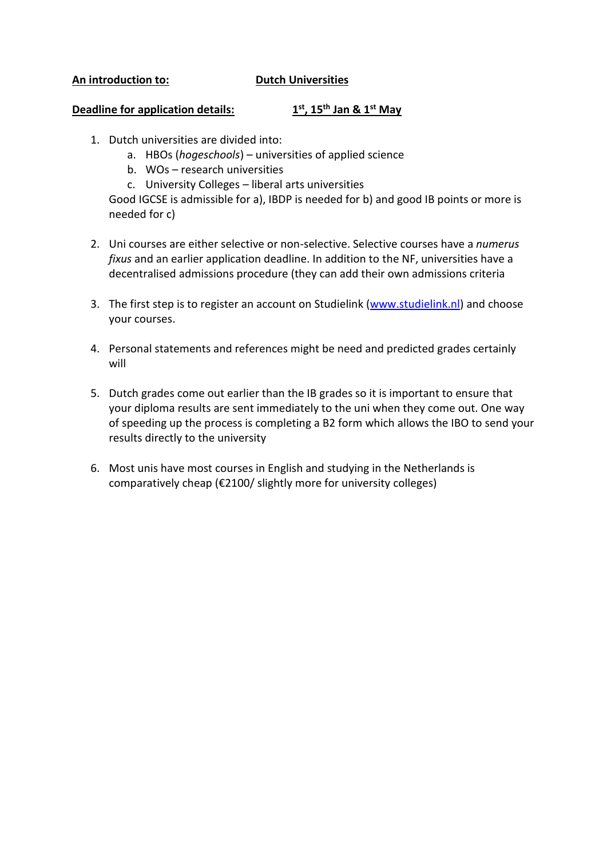## **An introduction to: Dutch Universities**

## **Deadline for application details: 1 st, 15th Jan & 1st May**

- 1. Dutch universities are divided into:
	- a. HBOs (*hogeschools*) universities of applied science
	- b. WOs research universities
	- c. University Colleges liberal arts universities

Good IGCSE is admissible for a), IBDP is needed for b) and good IB points or more is needed for c)

- 2. Uni courses are either selective or non-selective. Selective courses have a *numerus fixus* and an earlier application deadline. In addition to the NF, universities have a decentralised admissions procedure (they can add their own admissions criteria
- 3. The first step is to register an account on Studielink [\(www.studielink.nl\)](http://www.studielink.nl/) and choose your courses.
- 4. Personal statements and references might be need and predicted grades certainly will
- 5. Dutch grades come out earlier than the IB grades so it is important to ensure that your diploma results are sent immediately to the uni when they come out. One way of speeding up the process is completing a B2 form which allows the IBO to send your results directly to the university
- 6. Most unis have most courses in English and studying in the Netherlands is comparatively cheap (€2100/ slightly more for university colleges)